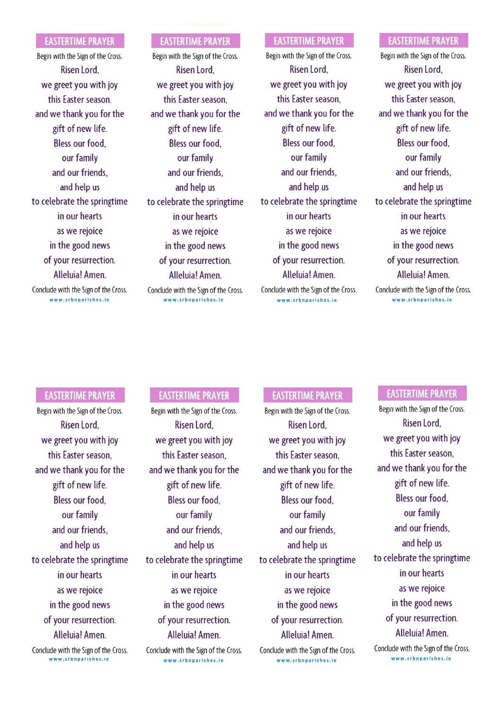#### **EASTERTIME PRAYER**

Begin with the Sign of the Cross. Risen Lord. grateful for all you we greet you with joy this Easter season, and we thank you for the  $W = \frac{1}{2}$ give or new the. Bless our food. our family  $\frac{1}{2}$ and our friends, and help us and for one another. retebrate the springtin in our hearts as we rejoice and rest. May our in the good news of your resurrection. Alloluial Amon *hueraldi* hinten: Conclude with the Sign of the Cross. **w w w .s r b n p a r i s h e s . i e**

#### **EASTERTIME PRAYER**

Begin with the Sign of the Cross. Risen Lord. grade function of the form we greet you with joy this Easter season. and we thank you for the  $W = \frac{1}{2}$ give or new the. Bless our food. our family  $\frac{1}{2}$ and our friends, and help us and for one another. b celebrate the springtin in our hearts as we rejoice and rest. May our in the good news of your resurrection. Alloluial Amon *huerald: hinten.* Conclude with the Sign of the Cross. **w w w .s r b n p a r i s h e s . i e**

### **EASTERTIME PRAYER**

Begin with the Sign of the Cross. Risen Lord. graphy ou with in me greet you man joy this Easter season. and we thank you for the  $W = \frac{1}{2}$  $\delta$ <sup>III</sup> of the w the. Bless our food, our family  $\mathbb{R}^n$  faith  $\mathbb{R}^n$  us with the theory of  $\mathbb{R}^n$ and our friends, and help us calabrata the conjugation becours in springent in our hearts as we rejoice and rest. May our in the good news of your resurrection. Alleluia! Amen. our hope be always in the always in the same of  $\overline{a}$ with the Sign of **w w w .s r b n p a r i s h e s . i e**

#### **EASTERTIME PRAYER**

Begin with the Sign of the Cross. Risen Lord. grade full formulation for all  $\mathbf{f}_0$ we greet you with joy this Easter season. and we thank you for the  $W = \frac{1}{2}$ But of new the. Bless our food, our family  $\frac{1}{2}$  faith  $\frac{1}{2}$  is  $\frac{1}{2}$  . and our friends, and help us and for one and formulated the continued to an another. In the continued to an another the continued to another Let it our church always control to the set of the set of the set of the set of the set of the set of the set o in our hearts as we rejoice and rest. May our in the good news of your resurrection. Alleluia! Amen. *i* metallar *hinten:* Conclude with the Sign of the Cross. **w w w .s r b n p a r i s h e s . i e**

#### **EASTERTIME PRAYER**

Begin with the Sign of the Cross. Risen Lord. we greet you with joy have provided me. My church is more than  $\alpha$ and we thank you for the  $\alpha$ ift of now life  $\delta$ <sup>out of new are:</sup> Bless our food, our family  $\mathbf{E} = \mathbf{E} \cdot \mathbf{E} \cdot \mathbf{E}$  $div \cdot \cdot \cdot$  for the figs, and help us coloheato the coringtis reterrate also spring conin our hearts as we rejoice and rest. May our in the good news of your resurrection. Allahial Aman Anciala: Allien. Conclude with the Sign of the Cross. **w w w .s r b n p a r i s h e s . i e**

#### **EASTERTIME PRAYER**

Begin with the Sign of the Cross.  $\frac{1}{2}$ **Niseli Loru,** we greet you with joy have provided me. My church season, and we thank you for the gift of new life.  $\frac{1}{2}$ bless our tood, our family faith Bless us with the and our menus, and help us to celebrate the springtime Let it our church always and the church always are church always and the church always are church always and the church always are church always are church always are church always are church always are church always are c in our nearts as we rejoice and rest. May our in the good news of your resurrection. Alloluial Amon *hueraldi hinteni* Conclude with the Sign of the Cross. **w w w .s r b n p a r i s h e s . i e**

#### **EASTERTIME PRAYER**

Begin with the Sign of the Cross.  $\frac{1}{2}$ **NISCHLLOTU,** we greet you with joy have provided me. My church season, and we thank you for the gift of new life.  $\frac{1}{2}$ bless our tood, our family faith Bless us for the party of the theory of the theory of the theory of the theory of the theory of the theory of the theory of the theory of the theory of the theory of the theory of the theory of the theory of the theo and our friends, and help us to celebrate the springtime  $\mathcal{L}$ in our nearts as we rejoice and rest. May our rest. in the good news of your resurrection. Alloluial Amon *huerardi hunten* Conclude with the Sign of the Cross. **w w w .s r b n p a r i s h e s . i e**

#### **EASTERTIME PRAYER**

 $\frac{1}{2}$ **NISCHLLOTU,** we greet you with joy have provided me. My church season, and we thank you for the gift of new life.  $\frac{1}{2}$ bless our tood, our family faith Bless us with the and our friends, and help us relehrate the springti  $\mathcal{L}$ in our hearts as we rejoice and rest. May our rest. in the good news of your resurrection. Alloluial Amon *huerardi hunten* Conclude with the Sign of the Cross. **w w w .s r b n p a r i s h e s . i e**